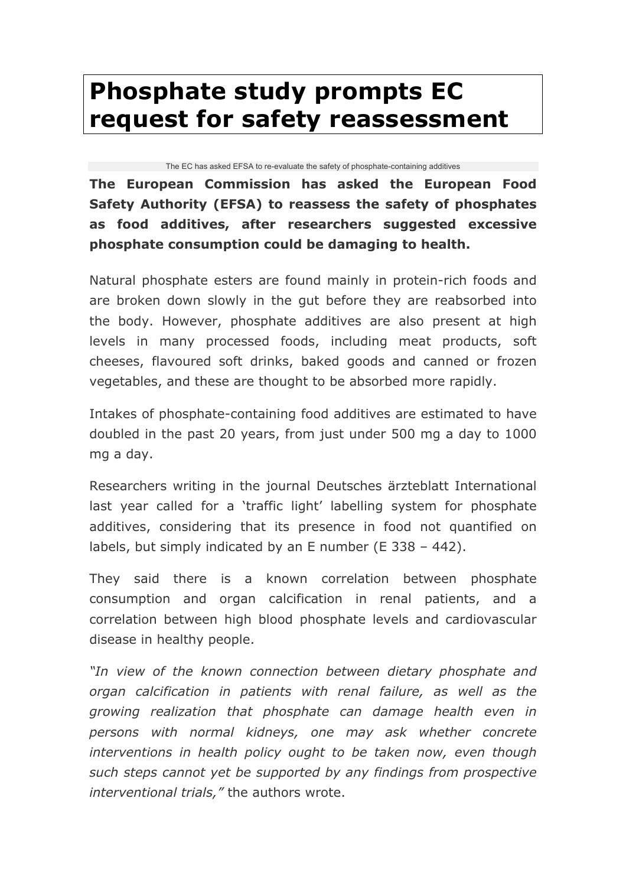## **Phosphate study prompts EC request for safety reassessment**

## The EC has asked EFSA to re-evaluate the safety of phosphate-containing additives

**The European Commission has asked the European Food Safety Authority (EFSA) to reassess the safety of phosphates as food additives, after researchers suggested excessive phosphate consumption could be damaging to health.**

Natural phosphate esters are found mainly in protein-rich foods and are broken down slowly in the gut before they are reabsorbed into the body. However, phosphate additives are also present at high levels in many processed foods, including meat products, soft cheeses, flavoured soft drinks, baked goods and canned or frozen vegetables, and these are thought to be absorbed more rapidly.

Intakes of phosphate-containing food additives are estimated to have doubled in the past 20 years, from just under 500 mg a day to 1000 mg a day.

Researchers writing in the journal Deutsches ärzteblatt International last year called for a 'traffic light' labelling system for phosphate additives, considering that its presence in food not quantified on labels, but simply indicated by an E number (E 338 – 442).

They said there is a known correlation between phosphate consumption and organ calcification in renal patients, and a correlation between high blood phosphate levels and cardiovascular disease in healthy people.

*"In view of the known connection between dietary phosphate and organ calcification in patients with renal failure, as well as the growing realization that phosphate can damage health even in persons with normal kidneys, one may ask whether concrete interventions in health policy ought to be taken now, even though such steps cannot yet be supported by any findings from prospective interventional trials,"* the authors wrote.